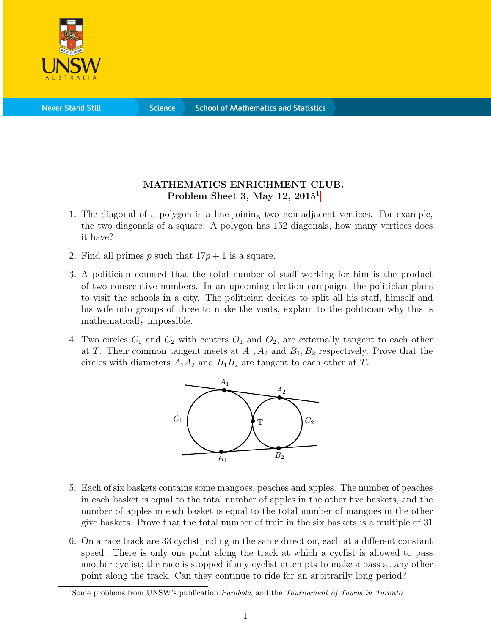

**Science** 

## MATHEMATICS ENRICHMENT CLUB. Problem Sheet 3, May [1](#page-0-0)2,  $2015<sup>1</sup>$

- 1. The diagonal of a polygon is a line joining two non-adjacent vertices. For example, the two diagonals of a square. A polygon has 152 diagonals, how many vertices does it have?
- 2. Find all primes p such that  $17p + 1$  is a square.
- 3. A politician counted that the total number of staff working for him is the product of two consecutive numbers. In an upcoming election campaign, the politician plans to visit the schools in a city. The politician decides to split all his staff, himself and his wife into groups of three to make the visits, explain to the politician why this is mathematically impossible.
- 4. Two circles  $C_1$  and  $C_2$  with centers  $O_1$  and  $O_2$ , are externally tangent to each other at T. Their common tangent meets at  $A_1, A_2$  and  $B_1, B_2$  respectively. Prove that the circles with diameters  $A_1A_2$  and  $B_1B_2$  are tangent to each other at T.



- 5. Each of six baskets contains some mangoes, peaches and apples. The number of peaches in each basket is equal to the total number of apples in the other five baskets, and the number of apples in each basket is equal to the total number of mangoes in the other give baskets. Prove that the total number of fruit in the six baskets is a multiple of 31
- 6. On a race track are 33 cyclist, riding in the same direction, each at a different constant speed. There is only one point along the track at which a cyclist is allowed to pass another cyclist; the race is stopped if any cyclist attempts to make a pass at any other point along the track. Can they continue to ride for an arbitrarily long period?

<span id="page-0-0"></span><sup>&</sup>lt;sup>1</sup>Some problems from UNSW's publication *Parabola*, and the *Tournament of Towns in Toronto*